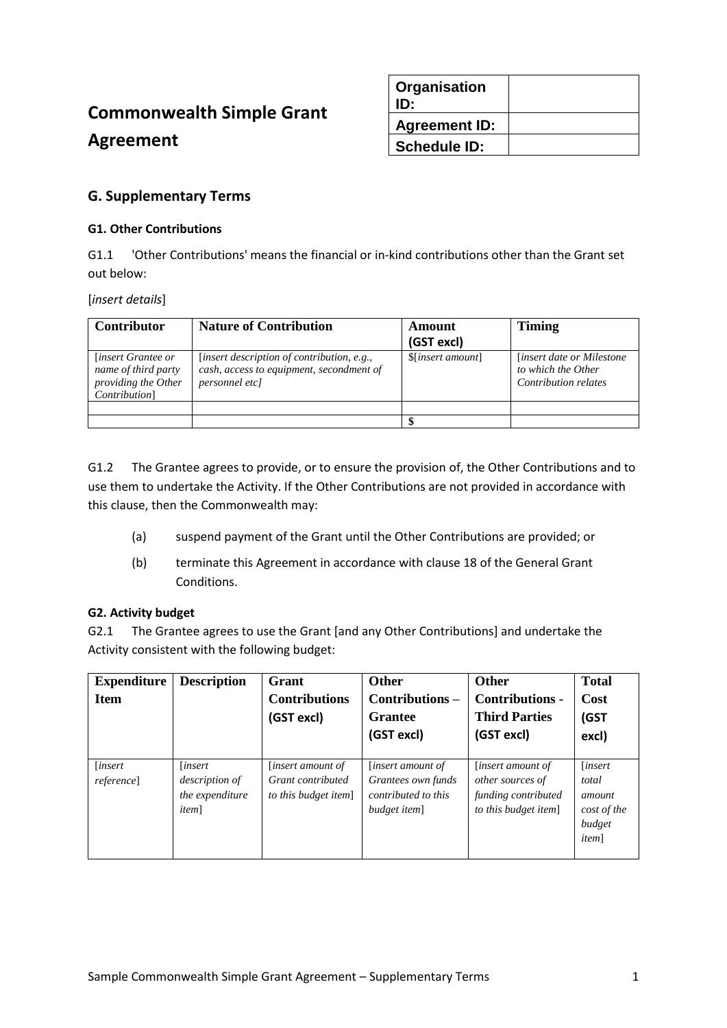# **Commonwealth Simple Grant Agreement**

| Organisation<br>ID:  |  |
|----------------------|--|
| <b>Agreement ID:</b> |  |
| <b>Schedule ID:</b>  |  |

## **G. Supplementary Terms**

## **G1. Other Contributions**

G1.1 'Other Contributions' means the financial or in-kind contributions other than the Grant set out below:

#### [*insert details*]

| <b>Contributor</b>                                                                               | <b>Nature of Contribution</b>                                                                                   | Amount<br>(GST excl) | <b>Timing</b>                                                                  |
|--------------------------------------------------------------------------------------------------|-----------------------------------------------------------------------------------------------------------------|----------------------|--------------------------------------------------------------------------------|
| <i>linsert Grantee or</i><br>name of third party<br>providing the Other<br><i>Contribution</i> ] | [insert description of contribution, e.g.,<br>cash, access to equipment, secondment of<br><i>personnel etcl</i> | \$[insert amount]    | <i>linsert date or Milestone</i><br>to which the Other<br>Contribution relates |
|                                                                                                  |                                                                                                                 |                      |                                                                                |
|                                                                                                  |                                                                                                                 |                      |                                                                                |

G1.2 The Grantee agrees to provide, or to ensure the provision of, the Other Contributions and to use them to undertake the Activity. If the Other Contributions are not provided in accordance with this clause, then the Commonwealth may:

- (a) suspend payment of the Grant until the Other Contributions are provided; or
- (b) terminate this Agreement in accordance with clause 18 of the General Grant Conditions.

#### **G2. Activity budget**

G2.1 The Grantee agrees to use the Grant [and any Other Contributions] and undertake the Activity consistent with the following budget:

| <b>Expenditure</b><br><b>Item</b> | <b>Description</b>                                                          | Grant<br><b>Contributions</b><br>(GST excl)                           | <b>Other</b><br>Contributions -<br><b>Grantee</b><br>(GST excl)                       | <b>Other</b><br><b>Contributions -</b><br><b>Third Parties</b><br>(GST excl)                | <b>Total</b><br>Cost<br>(GST<br>excl)                                       |
|-----------------------------------|-----------------------------------------------------------------------------|-----------------------------------------------------------------------|---------------------------------------------------------------------------------------|---------------------------------------------------------------------------------------------|-----------------------------------------------------------------------------|
| <i>linsert</i><br>reference]      | <i>linsert</i><br><i>description of</i><br>the expenditure<br><i>item</i> ] | <i>linsert amount of</i><br>Grant contributed<br>to this budget item] | <i>linsert amount of</i><br>Grantees own funds<br>contributed to this<br>budget item] | <i>linsert amount of</i><br>other sources of<br>funding contributed<br>to this budget item] | <i>linsert</i><br>total<br>amount<br>cost of the<br>budget<br><i>item</i> ] |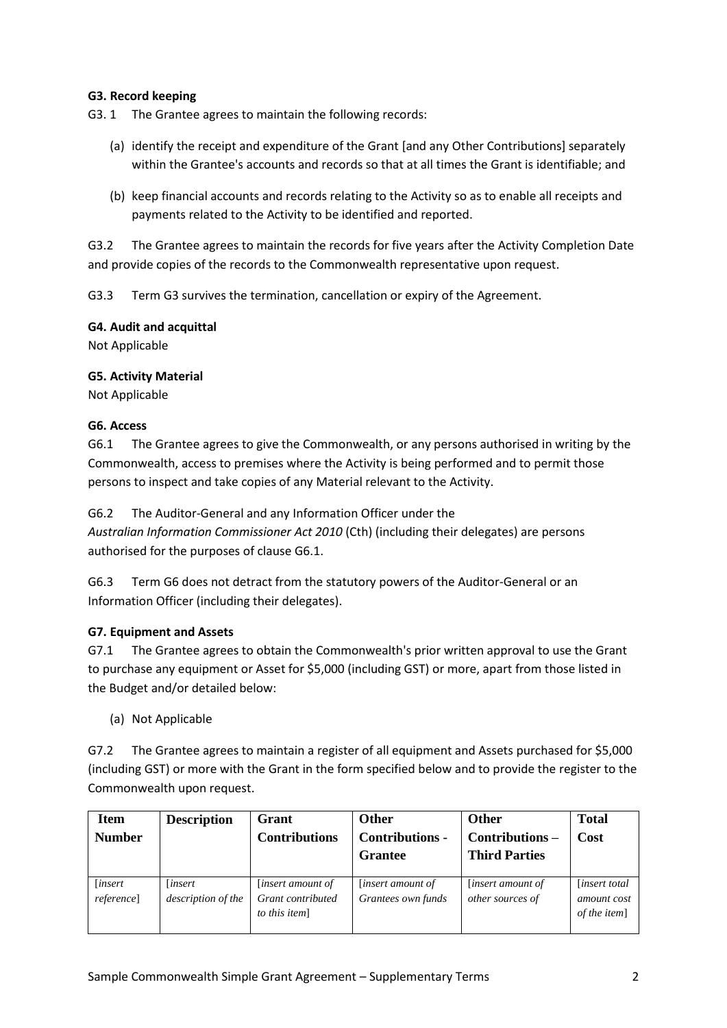## **G3. Record keeping**

G3. 1 The Grantee agrees to maintain the following records:

- (a) identify the receipt and expenditure of the Grant [and any Other Contributions] separately within the Grantee's accounts and records so that at all times the Grant is identifiable; and
- (b) keep financial accounts and records relating to the Activity so as to enable all receipts and payments related to the Activity to be identified and reported.

G3.2 The Grantee agrees to maintain the records for five years after the Activity Completion Date and provide copies of the records to the Commonwealth representative upon request.

G3.3 Term G3 survives the termination, cancellation or expiry of the Agreement.

#### **G4. Audit and acquittal**

Not Applicable

## **G5. Activity Material**

Not Applicable

## **G6. Access**

G6.1 The Grantee agrees to give the Commonwealth, or any persons authorised in writing by the Commonwealth, access to premises where the Activity is being performed and to permit those persons to inspect and take copies of any Material relevant to the Activity.

#### G6.2 The Auditor-General and any Information Officer under the

*Australian Information Commissioner Act 2010* (Cth) (including their delegates) are persons authorised for the purposes of clause G6.1.

G6.3 Term G6 does not detract from the statutory powers of the Auditor-General or an Information Officer (including their delegates).

#### **G7. Equipment and Assets**

G7.1 The Grantee agrees to obtain the Commonwealth's prior written approval to use the Grant to purchase any equipment or Asset for \$5,000 (including GST) or more, apart from those listed in the Budget and/or detailed below:

(a) Not Applicable

G7.2 The Grantee agrees to maintain a register of all equipment and Assets purchased for \$5,000 (including GST) or more with the Grant in the form specified below and to provide the register to the Commonwealth upon request.

| <b>Item</b><br><b>Number</b>   | <b>Description</b>                  | Grant<br><b>Contributions</b>                                  | <b>Other</b><br>Contributions -<br><b>Grantee</b> | Other<br>Contributions -<br><b>Third Parties</b> | <b>Total</b><br>Cost                                |
|--------------------------------|-------------------------------------|----------------------------------------------------------------|---------------------------------------------------|--------------------------------------------------|-----------------------------------------------------|
| [insert]<br><i>reference</i> ] | <i>insert</i><br>description of the | <i>linsert amount of</i><br>Grant contributed<br>to this item] | <i>linsert amount of</i><br>Grantees own funds    | <i>linsert amount of</i><br>other sources of     | <i>linsert total</i><br>amount cost<br>of the item] |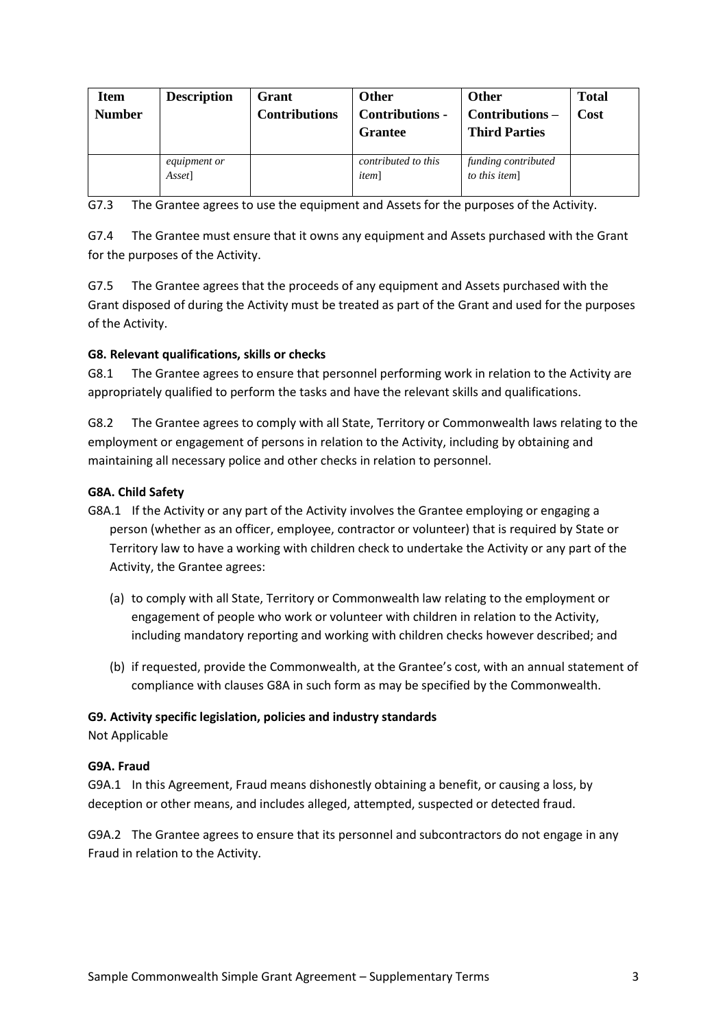| <b>Item</b><br><b>Number</b> | <b>Description</b>            | Grant<br><b>Contributions</b> | Other<br>Contributions -<br><b>Grantee</b> | Other<br>Contributions –<br><b>Third Parties</b> | <b>Total</b><br>Cost |
|------------------------------|-------------------------------|-------------------------------|--------------------------------------------|--------------------------------------------------|----------------------|
|                              | <i>equipment or</i><br>Asset] |                               | contributed to this<br><i>item</i> ]       | funding contributed<br>to this item]             |                      |

G7.3 The Grantee agrees to use the equipment and Assets for the purposes of the Activity.

G7.4 The Grantee must ensure that it owns any equipment and Assets purchased with the Grant for the purposes of the Activity.

G7.5 The Grantee agrees that the proceeds of any equipment and Assets purchased with the Grant disposed of during the Activity must be treated as part of the Grant and used for the purposes of the Activity.

## **G8. Relevant qualifications, skills or checks**

G8.1 The Grantee agrees to ensure that personnel performing work in relation to the Activity are appropriately qualified to perform the tasks and have the relevant skills and qualifications.

G8.2 The Grantee agrees to comply with all State, Territory or Commonwealth laws relating to the employment or engagement of persons in relation to the Activity, including by obtaining and maintaining all necessary police and other checks in relation to personnel.

## **G8A. Child Safety**

- G8A.1 If the Activity or any part of the Activity involves the Grantee employing or engaging a person (whether as an officer, employee, contractor or volunteer) that is required by State or Territory law to have a working with children check to undertake the Activity or any part of the Activity, the Grantee agrees:
	- (a) to comply with all State, Territory or Commonwealth law relating to the employment or engagement of people who work or volunteer with children in relation to the Activity, including mandatory reporting and working with children checks however described; and
	- (b) if requested, provide the Commonwealth, at the Grantee's cost, with an annual statement of compliance with clauses G8A in such form as may be specified by the Commonwealth.

#### **G9. Activity specific legislation, policies and industry standards**

Not Applicable

## **G9A. Fraud**

G9A.1 In this Agreement, Fraud means dishonestly obtaining a benefit, or causing a loss, by deception or other means, and includes alleged, attempted, suspected or detected fraud.

G9A.2 The Grantee agrees to ensure that its personnel and subcontractors do not engage in any Fraud in relation to the Activity.